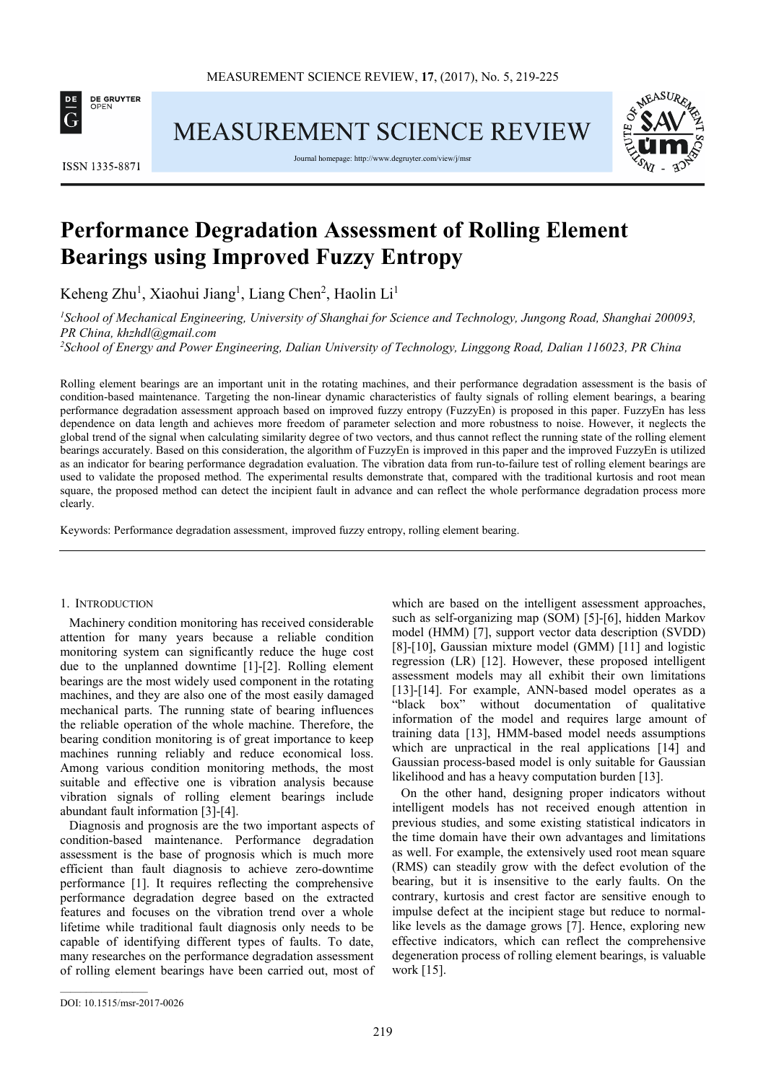

**MEASUREMENT SCIENCE REVIEW** 



Journal homepage: http://www.degruyter.com/view/j/ms



# **Performance Degradation Assessment of Rolling Element Bearings using Improved Fuzzy Entropy**

Keheng Zhu<sup>1</sup>, Xiaohui Jiang<sup>1</sup>, Liang Chen<sup>2</sup>, Haolin Li<sup>1</sup>

*<sup>1</sup>School of Mechanical Engineering, University of Shanghai for Science and Technology, Jungong Road, Shanghai 200093, PR China, khzhdl@gmail.com* 

*<sup>2</sup>School of Energy and Power Engineering, Dalian University of Technology, Linggong Road, Dalian 116023, PR China* 

Rolling element bearings are an important unit in the rotating machines, and their performance degradation assessment is the basis of condition-based maintenance. Targeting the non-linear dynamic characteristics of faulty signals of rolling element bearings, a bearing performance degradation assessment approach based on improved fuzzy entropy (FuzzyEn) is proposed in this paper. FuzzyEn has less dependence on data length and achieves more freedom of parameter selection and more robustness to noise. However, it neglects the global trend of the signal when calculating similarity degree of two vectors, and thus cannot reflect the running state of the rolling element bearings accurately. Based on this consideration, the algorithm of FuzzyEn is improved in this paper and the improved FuzzyEn is utilized as an indicator for bearing performance degradation evaluation. The vibration data from run-to-failure test of rolling element bearings are used to validate the proposed method. The experimental results demonstrate that, compared with the traditional kurtosis and root mean square, the proposed method can detect the incipient fault in advance and can reflect the whole performance degradation process more clearly.

Keywords: Performance degradation assessment, improved fuzzy entropy, rolling element bearing.

# 1. INTRODUCTION

Machinery condition monitoring has received considerable attention for many years because a reliable condition monitoring system can significantly reduce the huge cost due to the unplanned downtime [1]-[2]. Rolling element bearings are the most widely used component in the rotating machines, and they are also one of the most easily damaged mechanical parts. The running state of bearing influences the reliable operation of the whole machine. Therefore, the bearing condition monitoring is of great importance to keep machines running reliably and reduce economical loss. Among various condition monitoring methods, the most suitable and effective one is vibration analysis because vibration signals of rolling element bearings include abundant fault information [3]-[4].

Diagnosis and prognosis are the two important aspects of condition-based maintenance. Performance degradation assessment is the base of prognosis which is much more efficient than fault diagnosis to achieve zero-downtime performance [1]. It requires reflecting the comprehensive performance degradation degree based on the extracted features and focuses on the vibration trend over a whole lifetime while traditional fault diagnosis only needs to be capable of identifying different types of faults. To date, many researches on the performance degradation assessment of rolling element bearings have been carried out, most of which are based on the intelligent assessment approaches, such as self-organizing map (SOM) [5]-[6], hidden Markov model (HMM) [7], support vector data description (SVDD) [8]-[10], Gaussian mixture model (GMM) [11] and logistic regression (LR) [12]. However, these proposed intelligent assessment models may all exhibit their own limitations [13]-[14]. For example, ANN-based model operates as a "black box" without documentation of qualitative information of the model and requires large amount of training data [13], HMM-based model needs assumptions which are unpractical in the real applications [14] and Gaussian process-based model is only suitable for Gaussian likelihood and has a heavy computation burden [13].

On the other hand, designing proper indicators without intelligent models has not received enough attention in previous studies, and some existing statistical indicators in the time domain have their own advantages and limitations as well. For example, the extensively used root mean square (RMS) can steadily grow with the defect evolution of the bearing, but it is insensitive to the early faults. On the contrary, kurtosis and crest factor are sensitive enough to impulse defect at the incipient stage but reduce to normallike levels as the damage grows [7]. Hence, exploring new effective indicators, which can reflect the comprehensive degeneration process of rolling element bearings, is valuable work [15].

DOI: 10.1515/msr-2017-0026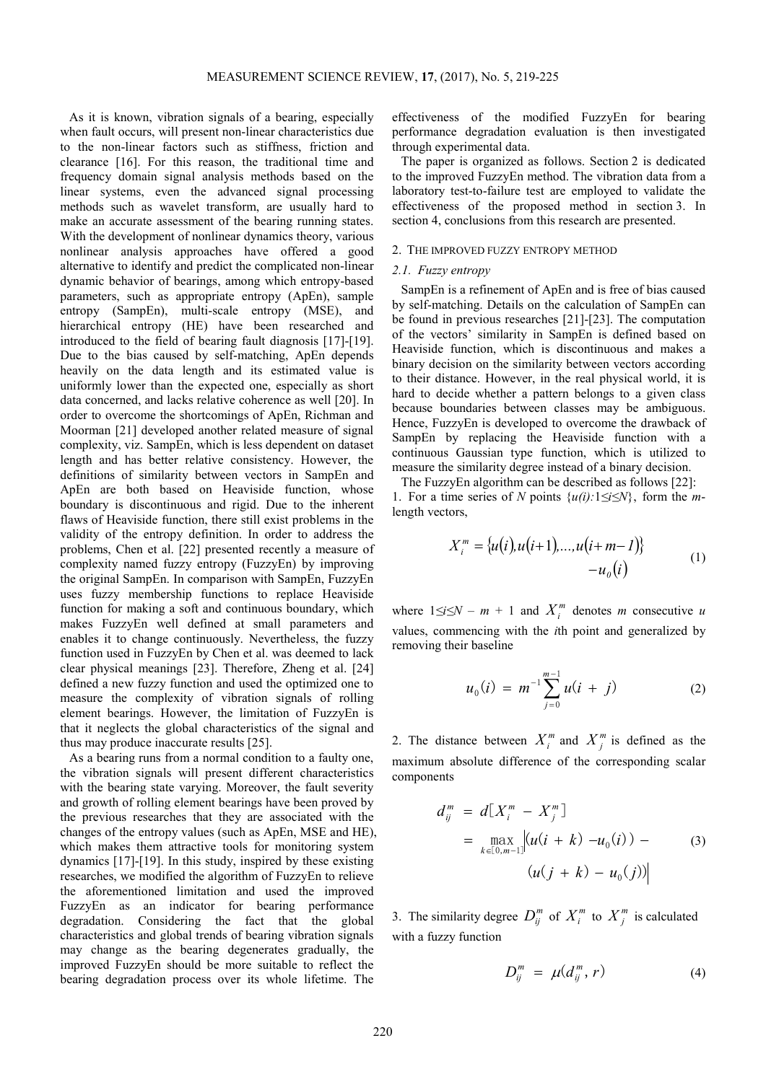As it is known, vibration signals of a bearing, especially when fault occurs, will present non-linear characteristics due to the non-linear factors such as stiffness, friction and clearance [16]. For this reason, the traditional time and frequency domain signal analysis methods based on the linear systems, even the advanced signal processing methods such as wavelet transform, are usually hard to make an accurate assessment of the bearing running states. With the development of nonlinear dynamics theory, various nonlinear analysis approaches have offered a good alternative to identify and predict the complicated non-linear dynamic behavior of bearings, among which entropy-based parameters, such as appropriate entropy (ApEn), sample entropy (SampEn), multi-scale entropy (MSE), and hierarchical entropy (HE) have been researched and introduced to the field of bearing fault diagnosis [17]-[19]. Due to the bias caused by self-matching, ApEn depends heavily on the data length and its estimated value is uniformly lower than the expected one, especially as short data concerned, and lacks relative coherence as well [20]. In order to overcome the shortcomings of ApEn, Richman and Moorman [21] developed another related measure of signal complexity, viz. SampEn, which is less dependent on dataset length and has better relative consistency. However, the definitions of similarity between vectors in SampEn and ApEn are both based on Heaviside function, whose boundary is discontinuous and rigid. Due to the inherent flaws of Heaviside function, there still exist problems in the validity of the entropy definition. In order to address the problems, Chen et al. [22] presented recently a measure of complexity named fuzzy entropy (FuzzyEn) by improving the original SampEn. In comparison with SampEn, FuzzyEn uses fuzzy membership functions to replace Heaviside function for making a soft and continuous boundary, which makes FuzzyEn well defined at small parameters and enables it to change continuously. Nevertheless, the fuzzy function used in FuzzyEn by Chen et al. was deemed to lack clear physical meanings [23]. Therefore, Zheng et al. [24] defined a new fuzzy function and used the optimized one to measure the complexity of vibration signals of rolling element bearings. However, the limitation of FuzzyEn is that it neglects the global characteristics of the signal and thus may produce inaccurate results [25].

As a bearing runs from a normal condition to a faulty one, the vibration signals will present different characteristics with the bearing state varying. Moreover, the fault severity and growth of rolling element bearings have been proved by the previous researches that they are associated with the changes of the entropy values (such as ApEn, MSE and HE), which makes them attractive tools for monitoring system dynamics [17]-[19]. In this study, inspired by these existing researches, we modified the algorithm of FuzzyEn to relieve the aforementioned limitation and used the improved FuzzyEn as an indicator for bearing performance degradation. Considering the fact that the global characteristics and global trends of bearing vibration signals may change as the bearing degenerates gradually, the improved FuzzyEn should be more suitable to reflect the bearing degradation process over its whole lifetime. The

effectiveness of the modified FuzzyEn for bearing performance degradation evaluation is then investigated through experimental data.

The paper is organized as follows. Section 2 is dedicated to the improved FuzzyEn method. The vibration data from a laboratory test-to-failure test are employed to validate the effectiveness of the proposed method in section 3. In section 4, conclusions from this research are presented.

# 2. THE IMPROVED FUZZY ENTROPY METHOD

## *2.1. Fuzzy entropy*

SampEn is a refinement of ApEn and is free of bias caused by self-matching. Details on the calculation of SampEn can be found in previous researches [21]-[23]. The computation of the vectors' similarity in SampEn is defined based on Heaviside function, which is discontinuous and makes a binary decision on the similarity between vectors according to their distance. However, in the real physical world, it is hard to decide whether a pattern belongs to a given class because boundaries between classes may be ambiguous. Hence, FuzzyEn is developed to overcome the drawback of SampEn by replacing the Heaviside function with a continuous Gaussian type function, which is utilized to measure the similarity degree instead of a binary decision.

The FuzzyEn algorithm can be described as follows [22]: 1. For a time series of *N* points {*u(i):*1*≤i≤N*}, form the *m*length vectors,

$$
X_i^m = {u(i), u(i+1),..., u(i+m-1)} - u_0(i)
$$
\n(1)

where  $1 \le i \le N - m + 1$  and  $X_i^m$  denotes *m* consecutive *u* values, commencing with the *i*th point and generalized by removing their baseline

$$
u_0(i) = m^{-1} \sum_{j=0}^{m-1} u(i + j)
$$
 (2)

2. The distance between  $X_i^m$  and  $X_j^m$  is defined as the maximum absolute difference of the corresponding scalar components

$$
d_{ij}^{m} = d[X_{i}^{m} - X_{j}^{m}]
$$
  
= 
$$
\max_{k \in [0, m-1]} \left| (u(i + k) - u_{0}(i)) - (3) \right|
$$
  

$$
(u(j + k) - u_{0}(j))
$$

3. The similarity degree  $D_{ij}^m$  of  $X_i^m$  to  $X_j^m$  is calculated with a fuzzy function

$$
D_{ij}^m = \mu(d_{ij}^m, r) \tag{4}
$$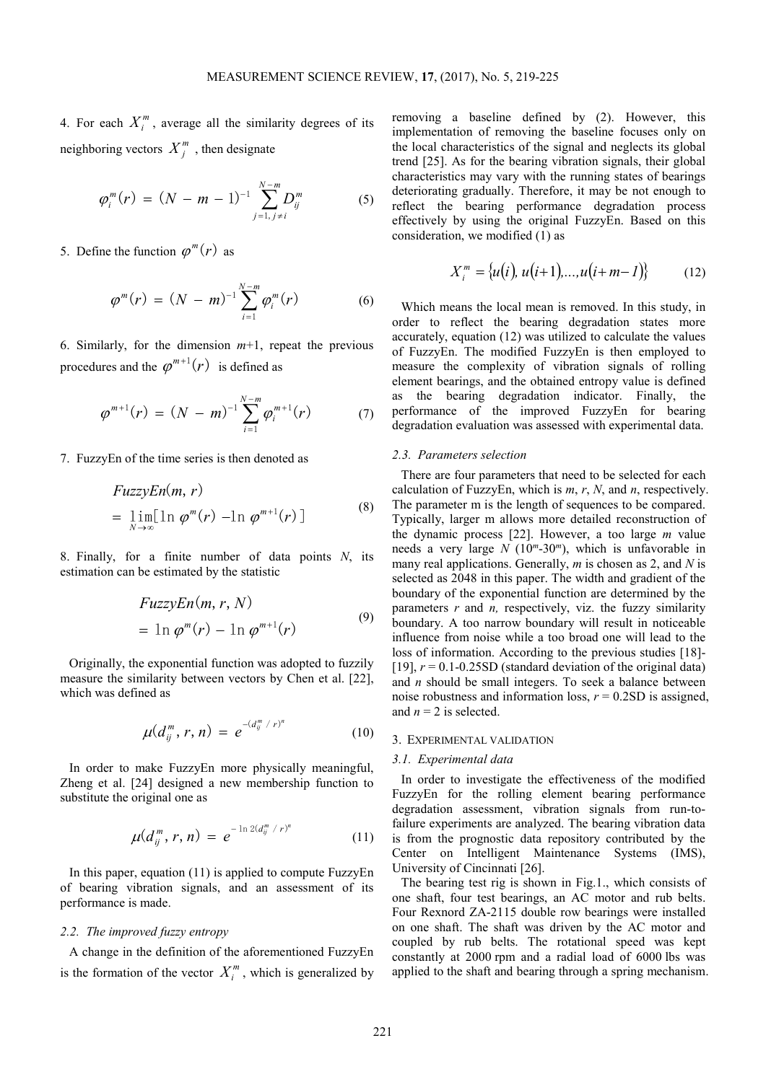4. For each  $X_i^m$ , average all the similarity degrees of its neighboring vectors  $X_j^m$ , then designate

$$
\varphi_i^m(r) = (N - m - 1)^{-1} \sum_{j=1, j \neq i}^{N-m} D_{ij}^m \tag{5}
$$

5. Define the function  $\varphi^{m}(r)$  as

$$
\varphi^{m}(r) = (N - m)^{-1} \sum_{i=1}^{N-m} \varphi_{i}^{m}(r) \qquad (6)
$$

6. Similarly, for the dimension  $m+1$ , repeat the previous procedures and the  $\varphi^{m+1}(r)$  is defined as

$$
\varphi^{m+1}(r) = (N - m)^{-1} \sum_{i=1}^{N-m} \varphi_i^{m+1}(r) \tag{7}
$$

7. FuzzyEn of the time series is then denoted as

$$
\begin{aligned} \nFuzzyEn(m, r) \\ &= \lim_{N \to \infty} [\ln \varphi^m(r) - \ln \varphi^{m+1}(r)] \tag{8} \n\end{aligned}
$$

8. Finally, for a finite number of data points *N*, its estimation can be estimated by the statistic

$$
FuzzyEn(m, r, N)
$$
  
=  $\ln \varphi^{m}(r) - \ln \varphi^{m+1}(r)$  (9)

Originally, the exponential function was adopted to fuzzily measure the similarity between vectors by Chen et al. [22], which was defined as

$$
\mu(d_{ij}^m, r, n) = e^{-(d_{ij}^m/r)^n}
$$
 (10)

In order to make FuzzyEn more physically meaningful, Zheng et al. [24] designed a new membership function to substitute the original one as

$$
\mu(d_{ij}^m, r, n) = e^{-\ln 2(d_{ij}^m/r)^n}
$$
 (11)

In this paper, equation (11) is applied to compute FuzzyEn of bearing vibration signals, and an assessment of its performance is made.

# *2.2. The improved fuzzy entropy*

A change in the definition of the aforementioned FuzzyEn is the formation of the vector  $X_i^m$ , which is generalized by removing a baseline defined by (2). However, this implementation of removing the baseline focuses only on the local characteristics of the signal and neglects its global trend [25]. As for the bearing vibration signals, their global characteristics may vary with the running states of bearings deteriorating gradually. Therefore, it may be not enough to reflect the bearing performance degradation process effectively by using the original FuzzyEn. Based on this consideration, we modified (1) as

$$
X_i^m = \{u(i), u(i+1), \dots, u(i+m-1)\}
$$
 (12)

Which means the local mean is removed. In this study, in order to reflect the bearing degradation states more accurately, equation (12) was utilized to calculate the values of FuzzyEn. The modified FuzzyEn is then employed to measure the complexity of vibration signals of rolling element bearings, and the obtained entropy value is defined as the bearing degradation indicator. Finally, the performance of the improved FuzzyEn for bearing degradation evaluation was assessed with experimental data.

## *2.3. Parameters selection*

There are four parameters that need to be selected for each calculation of FuzzyEn, which is *m*, *r*, *N*, and *n*, respectively. The parameter m is the length of sequences to be compared. Typically, larger m allows more detailed reconstruction of the dynamic process [22]. However, a too large *m* value needs a very large *N* (10*<sup>m</sup>*-30*<sup>m</sup>*), which is unfavorable in many real applications. Generally, *m* is chosen as 2, and *N* is selected as 2048 in this paper. The width and gradient of the boundary of the exponential function are determined by the parameters *r* and *n,* respectively, viz. the fuzzy similarity boundary. A too narrow boundary will result in noticeable influence from noise while a too broad one will lead to the loss of information. According to the previous studies [18]- [19], *r* = 0.1-0.25SD (standard deviation of the original data) and *n* should be small integers. To seek a balance between noise robustness and information loss,  $r = 0.2SD$  is assigned, and  $n = 2$  is selected.

## 3. EXPERIMENTAL VALIDATION

#### *3.1. Experimental data*

In order to investigate the effectiveness of the modified FuzzyEn for the rolling element bearing performance degradation assessment, vibration signals from run-tofailure experiments are analyzed. The bearing vibration data is from the prognostic data repository contributed by the Center on Intelligent Maintenance Systems (IMS), University of Cincinnati [26].

The bearing test rig is shown in Fig.1., which consists of one shaft, four test bearings, an AC motor and rub belts. Four Rexnord ZA-2115 double row bearings were installed on one shaft. The shaft was driven by the AC motor and coupled by rub belts. The rotational speed was kept constantly at 2000 rpm and a radial load of 6000 lbs was applied to the shaft and bearing through a spring mechanism.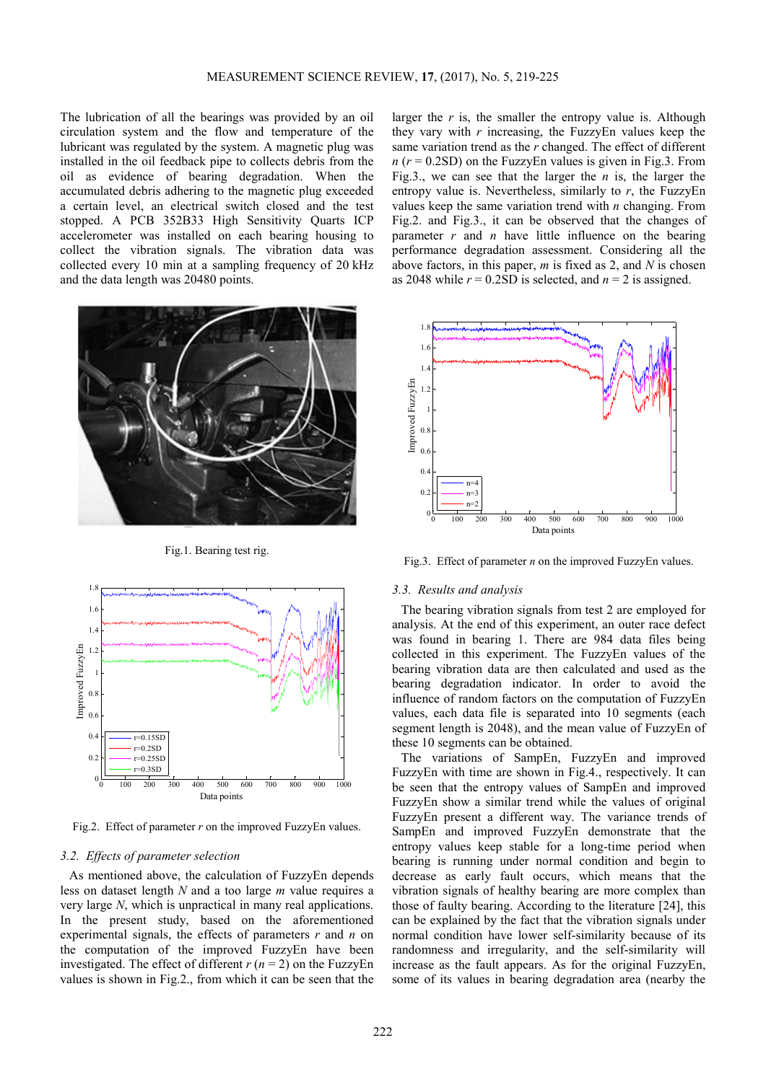The lubrication of all the bearings was provided by an oil circulation system and the flow and temperature of the lubricant was regulated by the system. A magnetic plug was installed in the oil feedback pipe to collects debris from the oil as evidence of bearing degradation. When the accumulated debris adhering to the magnetic plug exceeded a certain level, an electrical switch closed and the test stopped. A PCB 352B33 High Sensitivity Quarts ICP accelerometer was installed on each bearing housing to collect the vibration signals. The vibration data was collected every 10 min at a sampling frequency of 20 kHz and the data length was 20480 points.



Fig.1. Bearing test rig.



Fig.2. Effect of parameter  $r$  on the improved FuzzyEn values.

# *3.2. Effects of parameter selection*

As mentioned above, the calculation of FuzzyEn depends less on dataset length *N* and a too large *m* value requires a very large *N*, which is unpractical in many real applications. In the present study, based on the aforementioned experimental signals, the effects of parameters *r* and *n* on the computation of the improved FuzzyEn have been investigated. The effect of different  $r(n = 2)$  on the FuzzyEn values is shown in Fig.2., from which it can be seen that the larger the  $r$  is, the smaller the entropy value is. Although they vary with *r* increasing, the FuzzyEn values keep the same variation trend as the *r* changed. The effect of different  $n(r = 0.2SD)$  on the FuzzyEn values is given in Fig.3. From Fig.3., we can see that the larger the *n* is, the larger the entropy value is. Nevertheless, similarly to  $r$ , the FuzzyEn values keep the same variation trend with *n* changing. From Fig.2. and Fig.3., it can be observed that the changes of parameter *r* and *n* have little influence on the bearing performance degradation assessment. Considering all the above factors, in this paper, *m* is fixed as 2, and *N* is chosen as 2048 while  $r = 0.2SD$  is selected, and  $n = 2$  is assigned.



Fig.3. Effect of parameter *n* on the improved FuzzyEn values.

## *3.3. Results and analysis*

The bearing vibration signals from test 2 are employed for analysis. At the end of this experiment, an outer race defect was found in bearing 1. There are 984 data files being collected in this experiment. The FuzzyEn values of the bearing vibration data are then calculated and used as the bearing degradation indicator. In order to avoid the influence of random factors on the computation of FuzzyEn values, each data file is separated into 10 segments (each segment length is 2048), and the mean value of FuzzyEn of these 10 segments can be obtained.

The variations of SampEn, FuzzyEn and improved FuzzyEn with time are shown in Fig.4., respectively. It can be seen that the entropy values of SampEn and improved FuzzyEn show a similar trend while the values of original FuzzyEn present a different way. The variance trends of SampEn and improved FuzzyEn demonstrate that the entropy values keep stable for a long-time period when bearing is running under normal condition and begin to decrease as early fault occurs, which means that the vibration signals of healthy bearing are more complex than those of faulty bearing. According to the literature [24], this can be explained by the fact that the vibration signals under normal condition have lower self-similarity because of its randomness and irregularity, and the self-similarity will increase as the fault appears. As for the original FuzzyEn, some of its values in bearing degradation area (nearby the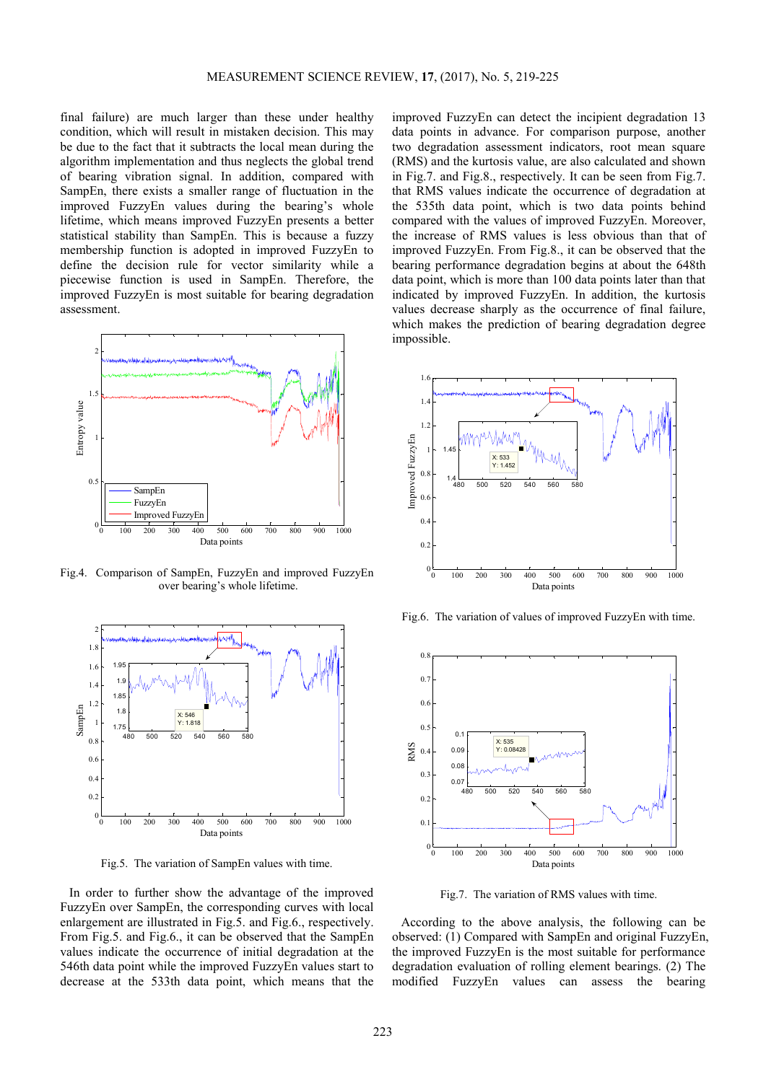final failure) are much larger than these under healthy condition, which will result in mistaken decision. This may be due to the fact that it subtracts the local mean during the algorithm implementation and thus neglects the global trend of bearing vibration signal. In addition, compared with SampEn, there exists a smaller range of fluctuation in the improved FuzzyEn values during the bearing's whole lifetime, which means improved FuzzyEn presents a better statistical stability than SampEn. This is because a fuzzy membership function is adopted in improved FuzzyEn to define the decision rule for vector similarity while a piecewise function is used in SampEn. Therefore, the improved FuzzyEn is most suitable for bearing degradation assessment.



Fig.4. Comparison of SampEn, FuzzyEn and improved FuzzyEn over bearing's whole lifetime.



Fig.5. The variation of SampEn values with time.

In order to further show the advantage of the improved FuzzyEn over SampEn, the corresponding curves with local enlargement are illustrated in Fig.5. and Fig.6., respectively. From Fig.5. and Fig.6., it can be observed that the SampEn values indicate the occurrence of initial degradation at the 546th data point while the improved FuzzyEn values start to decrease at the 533th data point, which means that the improved FuzzyEn can detect the incipient degradation 13 data points in advance. For comparison purpose, another two degradation assessment indicators, root mean square (RMS) and the kurtosis value, are also calculated and shown in Fig.7. and Fig.8., respectively. It can be seen from Fig.7. that RMS values indicate the occurrence of degradation at the 535th data point, which is two data points behind compared with the values of improved FuzzyEn. Moreover, the increase of RMS values is less obvious than that of improved FuzzyEn. From Fig.8., it can be observed that the bearing performance degradation begins at about the 648th data point, which is more than 100 data points later than that indicated by improved FuzzyEn. In addition, the kurtosis values decrease sharply as the occurrence of final failure, which makes the prediction of bearing degradation degree impossible.



Fig.6. The variation of values of improved FuzzyEn with time.



Fig.7. The variation of RMS values with time.

According to the above analysis, the following can be observed: (1) Compared with SampEn and original FuzzyEn, the improved FuzzyEn is the most suitable for performance degradation evaluation of rolling element bearings. (2) The modified FuzzyEn values can assess the bearing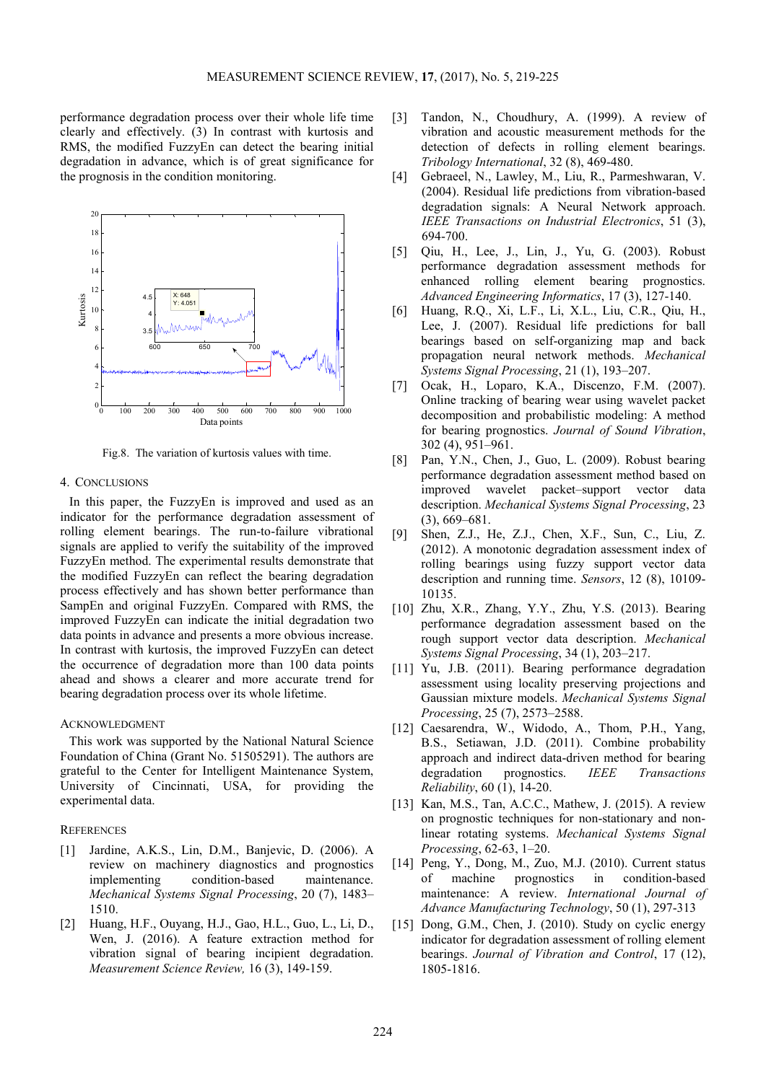performance degradation process over their whole life time clearly and effectively. (3) In contrast with kurtosis and RMS, the modified FuzzyEn can detect the bearing initial degradation in advance, which is of great significance for the prognosis in the condition monitoring.



Fig.8. The variation of kurtosis values with time.

# 4. CONCLUSIONS

In this paper, the FuzzyEn is improved and used as an indicator for the performance degradation assessment of rolling element bearings. The run-to-failure vibrational signals are applied to verify the suitability of the improved FuzzyEn method. The experimental results demonstrate that the modified FuzzyEn can reflect the bearing degradation process effectively and has shown better performance than SampEn and original FuzzyEn. Compared with RMS, the improved FuzzyEn can indicate the initial degradation two data points in advance and presents a more obvious increase. In contrast with kurtosis, the improved FuzzyEn can detect the occurrence of degradation more than 100 data points ahead and shows a clearer and more accurate trend for bearing degradation process over its whole lifetime.

#### ACKNOWLEDGMENT

This work was supported by the National Natural Science Foundation of China (Grant No. 51505291). The authors are grateful to the Center for Intelligent Maintenance System, University of Cincinnati, USA, for providing the experimental data.

# **REFERENCES**

- [1] Jardine, A.K.S., Lin, D.M., Banjevic, D. (2006). A review on machinery diagnostics and prognostics implementing condition-based maintenance. *Mechanical Systems Signal Processing*, 20 (7), 1483– 1510.
- [2] Huang, H.F., Ouyang, H.J., Gao, H.L., Guo, L., Li, D., Wen, J. (2016). A feature extraction method for vibration signal of bearing incipient degradation. *Measurement Science Review,* 16 (3), 149-159.
- [3] Tandon, N., Choudhury, A. (1999). A review of vibration and acoustic measurement methods for the detection of defects in rolling element bearings. *Tribology International*, 32 (8), 469-480.
- [4] Gebraeel, N., Lawley, M., Liu, R., Parmeshwaran, V. (2004). Residual life predictions from vibration-based degradation signals: A Neural Network approach. *IEEE Transactions on Industrial Electronics*, 51 (3), 694-700.
- [5] Qiu, H., Lee, J., Lin, J., Yu, G. (2003). Robust performance degradation assessment methods for enhanced rolling element bearing prognostics. *Advanced Engineering Informatics*, 17 (3), 127-140.
- [6] Huang, R.Q., Xi, L.F., Li, X.L., Liu, C.R., Qiu, H., Lee, J. (2007). Residual life predictions for ball bearings based on self-organizing map and back propagation neural network methods. *Mechanical Systems Signal Processing*, 21 (1), 193–207.
- [7] Ocak, H., Loparo, K.A., Discenzo, F.M. (2007). Online tracking of bearing wear using wavelet packet decomposition and probabilistic modeling: A method for bearing prognostics. *Journal of Sound Vibration*, 302 (4), 951–961.
- [8] Pan, Y.N., Chen, J., Guo, L. (2009). Robust bearing performance degradation assessment method based on improved wavelet packet–support vector data description. *Mechanical Systems Signal Processing*, 23 (3), 669–681.
- [9] Shen, Z.J., He, Z.J., Chen, X.F., Sun, C., Liu, Z. (2012). A monotonic degradation assessment index of rolling bearings using fuzzy support vector data description and running time. *Sensors*, 12 (8), 10109- 10135.
- [10] Zhu, X.R., Zhang, Y.Y., Zhu, Y.S. (2013). Bearing performance degradation assessment based on the rough support vector data description. *Mechanical Systems Signal Processing*, 34 (1), 203–217.
- [11] Yu, J.B. (2011). Bearing performance degradation assessment using locality preserving projections and Gaussian mixture models. *Mechanical Systems Signal Processing*, 25 (7), 2573–2588.
- [12] Caesarendra, W., Widodo, A., Thom, P.H., Yang, B.S., Setiawan, J.D. (2011). Combine probability approach and indirect data-driven method for bearing degradation prognostics. *IEEE Transactions Reliability*, 60 (1), 14-20.
- [13] Kan, M.S., Tan, A.C.C., Mathew, J. (2015). A review on prognostic techniques for non-stationary and nonlinear rotating systems. *Mechanical Systems Signal Processing*, 62-63, 1–20.
- [14] Peng, Y., Dong, M., Zuo, M.J. (2010). Current status of machine prognostics in condition-based maintenance: A review. *International Journal of Advance Manufacturing Technology*, 50 (1), 297-313
- [15] Dong, G.M., Chen, J. (2010). Study on cyclic energy indicator for degradation assessment of rolling element bearings. *Journal of Vibration and Control*, 17 (12), 1805-1816.